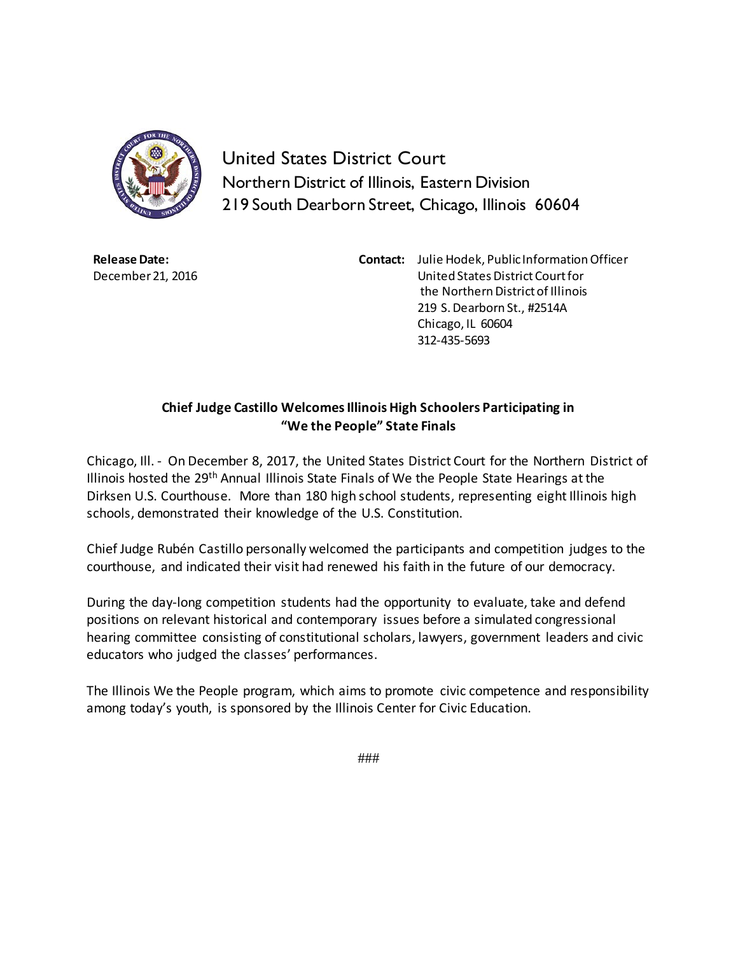

United States District Court Northern District of Illinois, Eastern Division 219 South Dearborn Street, Chicago, Illinois 60604

**Release Date:** December 21, 2016 **Contact:** Julie Hodek, Public Information Officer United States District Court for the Northern District of Illinois 219 S. Dearborn St., #2514A Chicago, IL 60604 312-435-5693

## **Chief Judge Castillo Welcomes Illinois High Schoolers Participating in "We the People" State Finals**

Chicago, Ill. - On December 8, 2017, the United States District Court for the Northern District of Illinois hosted the 29th Annual Illinois State Finals of We the People State Hearings at the Dirksen U.S. Courthouse. More than 180 high school students, representing eight Illinois high schools, demonstrated their knowledge of the U.S. Constitution.

Chief Judge Rubén Castillo personally welcomed the participants and competition judges to the courthouse, and indicated their visit had renewed his faith in the future of our democracy.

During the day-long competition students had the opportunity to evaluate, take and defend positions on relevant historical and contemporary issues before a simulated congressional hearing committee consisting of constitutional scholars, lawyers, government leaders and civic educators who judged the classes' performances.

The Illinois We the People program, which aims to promote civic competence and responsibility among today's youth, is sponsored by the Illinois Center for Civic Education.

###